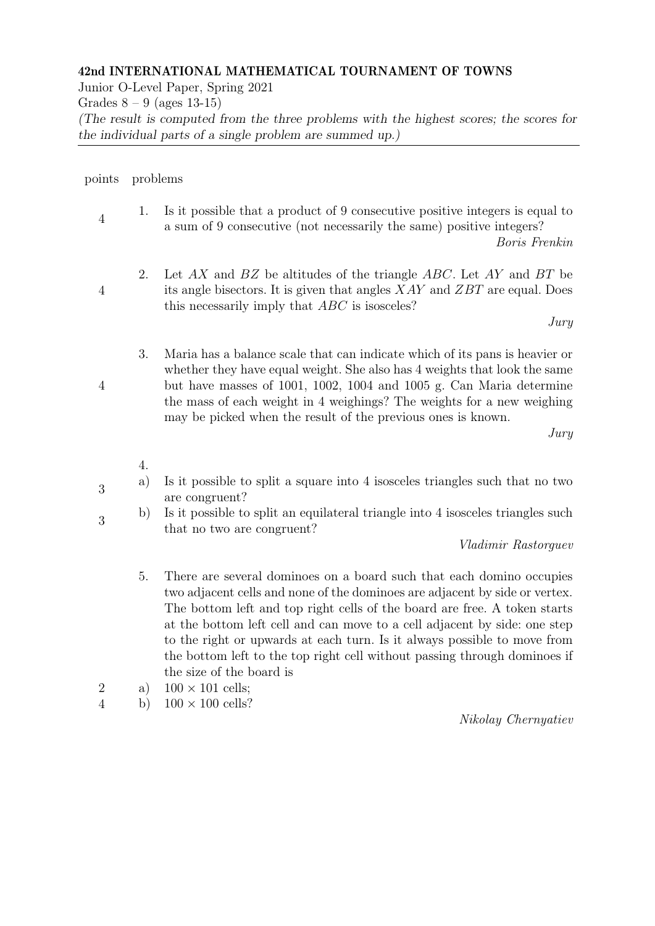## 42nd INTERNATIONAL MATHEMATICAL TOURNAMENT OF TOWNS

Junior O-Level Paper, Spring 2021

Grades  $8 - 9$  (ages 13-15)

(The result is computed from the three problems with the highest scores; the scores for the individual parts of a single problem are summed up.)

## points problems

4

4

4 1. Is it possible that a product of 9 consecutive positive integers is equal to a sum of 9 consecutive (not necessarily the same) positive integers?

Boris Frenkin

2. Let  $AX$  and  $BZ$  be altitudes of the triangle  $ABC$ . Let  $AY$  and  $BT$  be its angle bisectors. It is given that angles XAY and ZBT are equal. Does this necessarily imply that ABC is isosceles?

Jury

3. Maria has a balance scale that can indicate which of its pans is heavier or whether they have equal weight. She also has 4 weights that look the same but have masses of 1001, 1002, 1004 and 1005 g. Can Maria determine the mass of each weight in 4 weighings? The weights for a new weighing may be picked when the result of the previous ones is known.

Jury

- 4.
- 3 a) Is it possible to split a square into 4 isosceles triangles such that no two are congruent?
- 3 b) Is it possible to split an equilateral triangle into 4 isosceles triangles such that no two are congruent?

Vladimir Rastorguev

- 5. There are several dominoes on a board such that each domino occupies two adjacent cells and none of the dominoes are adjacent by side or vertex. The bottom left and top right cells of the board are free. A token starts at the bottom left cell and can move to a cell adjacent by side: one step to the right or upwards at each turn. Is it always possible to move from the bottom left to the top right cell without passing through dominoes if the size of the board is
- 2 a)  $100 \times 101$  cells;
- 4 b)  $100 \times 100$  cells?

Nikolay Chernyatiev